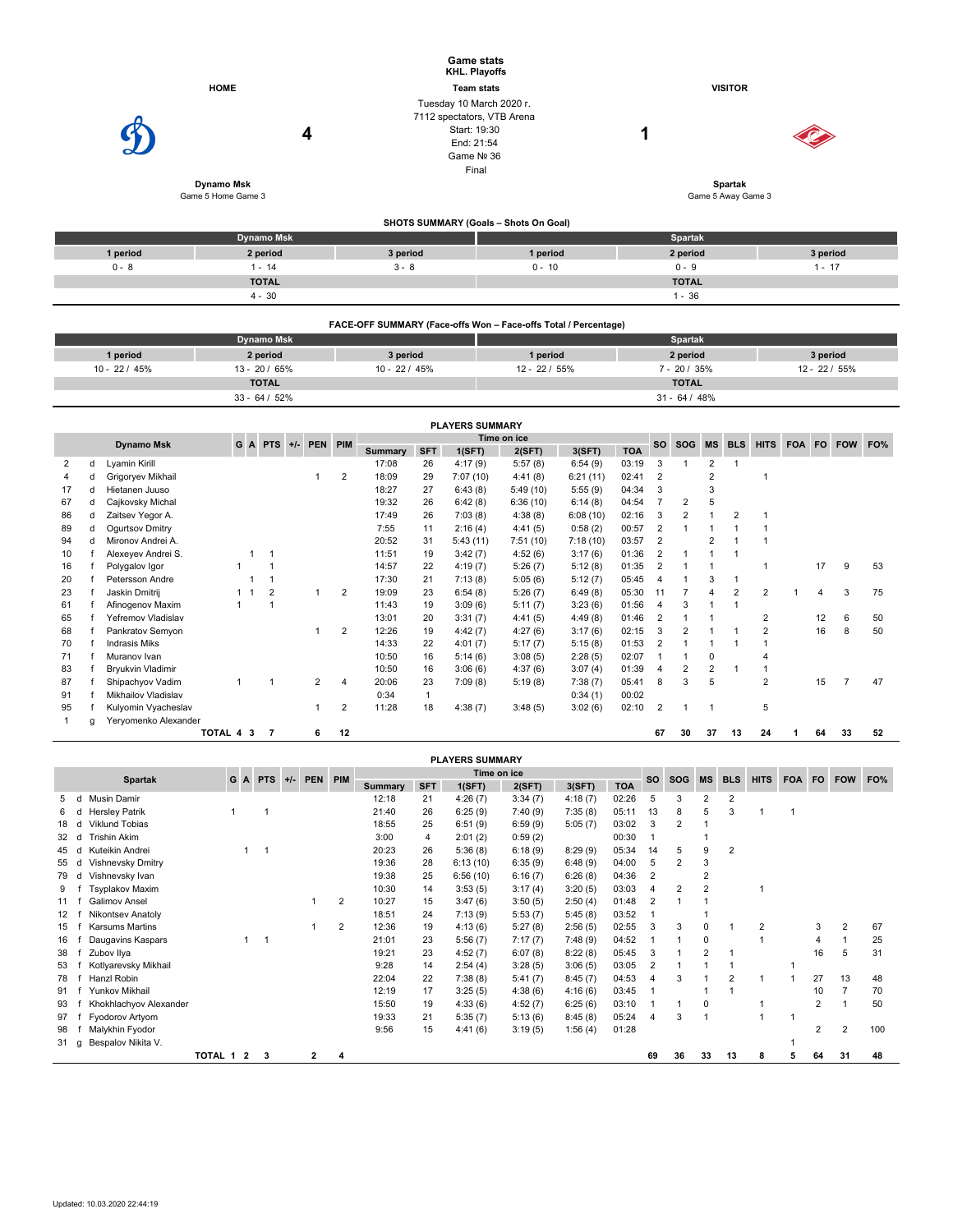|          |                                       |                                                                                      | <b>Game stats</b><br>KHL. Playoffs    |                                           |          |
|----------|---------------------------------------|--------------------------------------------------------------------------------------|---------------------------------------|-------------------------------------------|----------|
|          | <b>HOME</b>                           |                                                                                      | <b>Team stats</b>                     | <b>VISITOR</b>                            |          |
|          | 4<br>Dynamo Msk<br>Game 5 Home Game 3 | Tuesday 10 March 2020 r.<br>7112 spectators, VTB Arena<br>Start: 19:30<br>End: 21:54 | Game Nº 36<br>Final                   | 4<br><b>Spartak</b><br>Game 5 Away Game 3 |          |
|          |                                       |                                                                                      | SHOTS SUMMARY (Goals - Shots On Goal) |                                           |          |
|          | <b>Dynamo Msk</b>                     |                                                                                      |                                       | Spartak                                   |          |
| 1 period | 2 period                              | 3 period                                                                             | 1 period                              | 2 period                                  | 3 period |
| $0 - 8$  | $1 - 14$                              | $3 - 8$                                                                              | $0 - 10$                              | $0 - 9$                                   | $1 - 17$ |
|          | <b>TOTAL</b>                          |                                                                                      |                                       | <b>TOTAL</b>                              |          |
|          | $4 - 30$                              |                                                                                      |                                       | $1 - 36$                                  |          |

|                 | FACE-OFF SUMMARY (Face-offs Won – Face-offs Total / Percentage) |               |                 |                 |                 |  |  |  |  |  |  |  |  |  |  |
|-----------------|-----------------------------------------------------------------|---------------|-----------------|-----------------|-----------------|--|--|--|--|--|--|--|--|--|--|
|                 | <b>Dynamo Msk</b>                                               |               | <b>Spartak</b>  |                 |                 |  |  |  |  |  |  |  |  |  |  |
| 1 period        | 2 period                                                        | 3 period      | 1 period        | 2 period        | 3 period        |  |  |  |  |  |  |  |  |  |  |
| $10 - 22 / 45%$ | $13 - 20 / 65%$                                                 | $10 - 22/45%$ | $12 - 22 / 55%$ | $7 - 20 / 35%$  | $12 - 22 / 55%$ |  |  |  |  |  |  |  |  |  |  |
|                 | <b>TOTAL</b>                                                    |               |                 | <b>TOTAL</b>    |                 |  |  |  |  |  |  |  |  |  |  |
|                 | $33 - 64 / 52%$                                                 |               |                 | $31 - 64 / 48%$ |                 |  |  |  |  |  |  |  |  |  |  |

|    |   |                      |         |    |                 |                |                |         |             | <b>PLAYERS SUMMARY</b> |             |          |            |                |                |           |                |                |            |           |            |     |
|----|---|----------------------|---------|----|-----------------|----------------|----------------|---------|-------------|------------------------|-------------|----------|------------|----------------|----------------|-----------|----------------|----------------|------------|-----------|------------|-----|
|    |   | <b>Dynamo Msk</b>    |         |    | $G$ A PTS $+/-$ | PEN PIM        |                |         |             |                        | Time on ice |          |            | <b>SO</b>      | <b>SOG</b>     | <b>MS</b> | <b>BLS</b>     | <b>HITS</b>    | <b>FOA</b> | <b>FO</b> |            | FO% |
|    |   |                      |         |    |                 |                |                | Summary | <b>SFT</b>  | 1(SFT)                 | 2(SFT)      | 3(SFT)   | <b>TOA</b> |                |                |           |                |                |            |           | <b>FOW</b> |     |
| 2  | d | Lyamin Kirill        |         |    |                 |                |                | 17:08   | 26          | 4:17(9)                | 5:57(8)     | 6:54(9)  | 03:19      |                |                | 2         |                |                |            |           |            |     |
|    | d | Grigoryev Mikhail    |         |    |                 |                | $\overline{2}$ | 18:09   | 29          | 7:07(10)               | 4:41(8)     | 6:21(11) | 02:41      | $\overline{2}$ |                |           |                |                |            |           |            |     |
| 17 | d | Hietanen Juuso       |         |    |                 |                |                | 18:27   | 27          | 6:43(8)                | 5:49(10)    | 5:55(9)  | 04:34      | 3              |                | 3         |                |                |            |           |            |     |
| 67 | d | Cajkovsky Michal     |         |    |                 |                |                | 19:32   | 26          | 6:42(8)                | 6:36(10)    | 6:14(8)  | 04:54      |                | 2              |           |                |                |            |           |            |     |
| 86 | d | Zaitsev Yegor A.     |         |    |                 |                |                | 17:49   | 26          | 7:03(8)                | 4:38(8)     | 6:08(10) | 02:16      | 3              | $\overline{2}$ |           | $\overline{2}$ |                |            |           |            |     |
| 89 | d | Ogurtsov Dmitry      |         |    |                 |                |                | 7:55    | 11          | 2:16(4)                | 4:41(5)     | 0:58(2)  | 00:57      |                |                |           |                |                |            |           |            |     |
| 94 | d | Mironov Andrei A.    |         |    |                 |                |                | 20:52   | 31          | 5:43(11)               | 7:51(10)    | 7:18(10) | 03:57      | $\overline{2}$ |                | 2         |                |                |            |           |            |     |
| 10 |   | Alexeyev Andrei S.   |         |    |                 |                |                | 11:51   | 19          | 3:42(7)                | 4:52(6)     | 3:17(6)  | 01:36      |                |                |           |                |                |            |           |            |     |
| 16 |   | Polygalov Igor       |         |    |                 |                |                | 14:57   | 22          | 4:19(7)                | 5:26(7)     | 5:12(8)  | 01:35      | $\overline{2}$ |                |           |                |                |            | 17        | 9          | 53  |
| 20 |   | Petersson Andre      |         |    |                 |                |                | 17:30   | 21          | 7:13(8)                | 5:05(6)     | 5:12(7)  | 05:45      |                |                | 3         |                |                |            |           |            |     |
| 23 |   | Jaskin Dmitrij       |         |    | 2               |                | $\overline{2}$ | 19:09   | 23          | 6:54(8)                | 5:26(7)     | 6:49(8)  | 05:30      | 11             |                |           | 2              | $\overline{c}$ |            | 4         | 3          | 75  |
| 61 |   | Afinogenov Maxim     |         |    |                 |                |                | 11:43   | 19          | 3:09(6)                | 5:11(7)     | 3:23(6)  | 01:56      |                | 3              |           |                |                |            |           |            |     |
| 65 |   | Yefremov Vladislav   |         |    |                 |                |                | 13:01   | 20          | 3:31(7)                | 4:41(5)     | 4:49(8)  | 01:46      | $\overline{2}$ |                |           |                | 2              |            | 12        | 6          | 50  |
| 68 |   | Pankratov Semyon     |         |    |                 |                | $\overline{2}$ | 12:26   | 19          | 4:42(7)                | 4:27(6)     | 3:17(6)  | 02:15      | 3              |                |           |                | 2              |            | 16        | 8          | 50  |
| 70 |   | <b>Indrasis Miks</b> |         |    |                 |                |                | 14:33   | 22          | 4:01(7)                | 5:17(7)     | 5:15(8)  | 01:53      | $\overline{2}$ |                |           |                |                |            |           |            |     |
| 71 |   | Muranov Ivan         |         |    |                 |                |                | 10:50   | 16          | 5:14(6)                | 3:08(5)     | 2:28(5)  | 02:07      |                |                |           |                |                |            |           |            |     |
| 83 |   | Bryukvin Vladimir    |         |    |                 |                |                | 10:50   | 16          | 3:06(6)                | 4:37(6)     | 3:07(4)  | 01:39      | 4              | $\overline{2}$ | 2         |                |                |            |           |            |     |
| 87 |   | Shipachyov Vadim     |         |    |                 | $\overline{2}$ | $\overline{4}$ | 20:06   | 23          | 7:09(8)                | 5:19(8)     | 7:38(7)  | 05:41      | 8              | 3              | 5         |                | 2              |            | 15        |            | 47  |
| 91 |   | Mikhailov Vladislav  |         |    |                 |                |                | 0:34    | $\mathbf 1$ |                        |             | 0:34(1)  | 00:02      |                |                |           |                |                |            |           |            |     |
| 95 |   | Kulyomin Vyacheslav  |         |    |                 |                | $\overline{2}$ | 11:28   | 18          | 4:38(7)                | 3:48(5)     | 3:02(6)  | 02:10      | $\overline{2}$ |                |           |                | 5              |            |           |            |     |
|    | g | Yeryomenko Alexander |         |    |                 |                |                |         |             |                        |             |          |            |                |                |           |                |                |            |           |            |     |
|    |   |                      | TOTAL 4 | -3 | 7               | 6              | 12             |         |             |                        |             |          |            | 67             | 30             | 37        | 13             | 24             |            | 64        | 33         | 52  |

|    |   |                        |         |                         |            |       |         |   |                |            | <b>PLAYERS SUMMARY</b> |         |         |            |                |                |                |                         |                |        |    |            |     |
|----|---|------------------------|---------|-------------------------|------------|-------|---------|---|----------------|------------|------------------------|---------|---------|------------|----------------|----------------|----------------|-------------------------|----------------|--------|----|------------|-----|
|    |   | <b>Spartak</b>         |         | GA                      | <b>PTS</b> | $+/-$ | PEN PIM |   |                |            | Time on ice            |         |         |            | <b>SO</b>      | <b>SOG</b>     | <b>MS</b>      | <b>BLS</b>              | <b>HITS</b>    | FOA FO |    | <b>FOW</b> | FO% |
|    |   |                        |         |                         |            |       |         |   | <b>Summary</b> | <b>SFT</b> | 1(SFT)                 | 2(SFT)  | 3(SFT)  | <b>TOA</b> |                |                |                |                         |                |        |    |            |     |
|    | C | Musin Damir            |         |                         |            |       |         |   | 12:18          | 21         | 4:26(7)                | 3:34(7) | 4:18(7) | 02:26      | 5              | 3              | $\overline{2}$ | $\overline{\mathbf{c}}$ |                |        |    |            |     |
| 6  | d | <b>Hersley Patrik</b>  |         |                         |            |       |         |   | 21:40          | 26         | 6:25(9)                | 7:40(9) | 7:35(8) | 05:11      | 13             | 8              | 5              | 3                       |                |        |    |            |     |
| 18 | d | Viklund Tobias         |         |                         |            |       |         |   | 18:55          | 25         | 6:51(9)                | 6:59(9) | 5:05(7) | 03:02      | 3              | $\overline{2}$ |                |                         |                |        |    |            |     |
| 32 | d | <b>Trishin Akim</b>    |         |                         |            |       |         |   | 3:00           | 4          | 2:01(2)                | 0:59(2) |         | 00:30      |                |                |                |                         |                |        |    |            |     |
| 45 | d | Kuteikin Andrei        |         |                         |            |       |         |   | 20:23          | 26         | 5:36(8)                | 6:18(9) | 8:29(9) | 05:34      | 14             | 5              | g              | 2                       |                |        |    |            |     |
| 55 | d | Vishnevsky Dmitry      |         |                         |            |       |         |   | 19:36          | 28         | 6:13(10)               | 6:35(9) | 6:48(9) | 04:00      | 5              | $\overline{2}$ | 3              |                         |                |        |    |            |     |
| 79 | d | Vishnevsky Ivan        |         |                         |            |       |         |   | 19:38          | 25         | 6:56(10)               | 6:16(7) | 6:26(8) | 04:36      | $\overline{2}$ |                | $\overline{2}$ |                         |                |        |    |            |     |
| 9  |   | <b>Tsyplakov Maxim</b> |         |                         |            |       |         |   | 10:30          | 14         | 3:53(5)                | 3:17(4) | 3:20(5) | 03:03      | 4              | $\overline{2}$ | $\overline{2}$ |                         |                |        |    |            |     |
| 11 |   | <b>Galimov Ansel</b>   |         |                         |            |       |         | 2 | 10:27          | 15         | 3:47(6)                | 3:50(5) | 2:50(4) | 01:48      | 2              |                |                |                         |                |        |    |            |     |
| 12 |   | Nikontsev Anatoly      |         |                         |            |       |         |   | 18:51          | 24         | 7:13(9)                | 5:53(7) | 5:45(8) | 03:52      |                |                |                |                         |                |        |    |            |     |
| 15 |   | <b>Karsums Martins</b> |         |                         |            |       |         | 2 | 12:36          | 19         | 4:13(6)                | 5:27(8) | 2:56(5) | 02:55      | 3              | 3              |                |                         | $\overline{2}$ |        | 3  | 2          | 67  |
| 16 |   | Daugavins Kaspars      |         |                         |            |       |         |   | 21:01          | 23         | 5:56(7)                | 7:17(7) | 7:48(9) | 04:52      |                |                | $\Omega$       |                         |                |        |    |            | 25  |
| 38 |   | Zubov Ilya             |         |                         |            |       |         |   | 19:21          | 23         | 4:52(7)                | 6:07(8) | 8:22(8) | 05:45      | 3              |                | $\overline{2}$ |                         |                |        | 16 | 5          | 31  |
| 53 |   | Kotlyarevsky Mikhail   |         |                         |            |       |         |   | 9:28           | 14         | 2:54(4)                | 3:28(5) | 3:06(5) | 03:05      | 2              |                |                |                         |                |        |    |            |     |
| 78 |   | Hanzl Robin            |         |                         |            |       |         |   | 22:04          | 22         | 7:38(8)                | 5:41(7) | 8:45(7) | 04:53      | 4              | 3              |                | $\overline{2}$          |                |        | 27 | 13         | 48  |
| 91 |   | Yunkov Mikhail         |         |                         |            |       |         |   | 12:19          | 17         | 3:25(5)                | 4:38(6) | 4:16(6) | 03:45      |                |                |                |                         |                |        | 10 |            | 70  |
| 93 |   | Khokhlachyov Alexander |         |                         |            |       |         |   | 15:50          | 19         | 4:33(6)                | 4:52(7) | 6:25(6) | 03:10      |                |                | 0              |                         |                |        | 2  |            | 50  |
| 97 |   | Fyodorov Artyom        |         |                         |            |       |         |   | 19:33          | 21         | 5:35(7)                | 5:13(6) | 8:45(8) | 05:24      | 4              | 3              |                |                         |                |        |    |            |     |
| 98 |   | Malykhin Fyodor        |         |                         |            |       |         |   | 9:56           | 15         | 4:41(6)                | 3:19(5) | 1:56(4) | 01:28      |                |                |                |                         |                |        | 2  | 2          | 100 |
| 31 | q | Bespalov Nikita V.     |         |                         |            |       |         |   |                |            |                        |         |         |            |                |                |                |                         |                |        |    |            |     |
|    |   |                        | TOTAL 1 | $\overline{\mathbf{2}}$ | 3          |       | 2       | 4 |                |            |                        |         |         |            | 69             | 36             | 33             | 13                      | 8              | 5      | 64 | 31         | 48  |